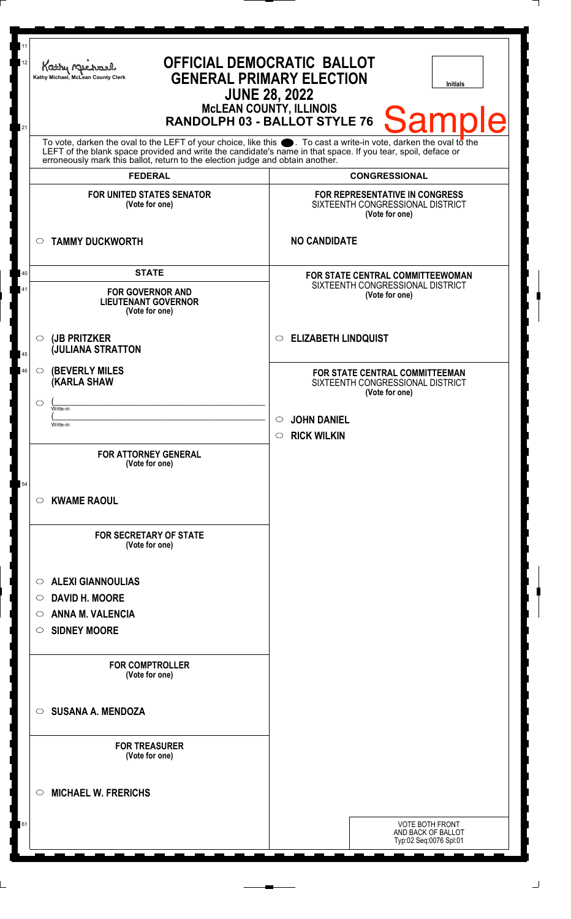| 11<br>12<br>21 | <b>OFFICIAL DEMOCRATIC BALLOT</b><br>Kathy Michael<br><b>GENERAL PRIMARY ELECTION</b><br>Kathy Michael, McLean County Clerk<br><b>Initials</b><br><b>JUNE 28, 2022</b><br><b>McLEAN COUNTY, ILLINOIS</b><br><b>Sample</b><br>RANDOLPH 03 - BALLOT STYLE 76                                                             |                                                                                        |
|----------------|------------------------------------------------------------------------------------------------------------------------------------------------------------------------------------------------------------------------------------------------------------------------------------------------------------------------|----------------------------------------------------------------------------------------|
|                | To vote, darken the oval to the LEFT of your choice, like this $\bullet$ . To cast a write-in vote, darken the oval to the LEFT of the blank space provided and write the candidate's name in that space. If you tear, spoil, deface<br>erroneously mark this ballot, return to the election judge and obtain another. |                                                                                        |
|                | <b>FEDERAL</b>                                                                                                                                                                                                                                                                                                         | <b>CONGRESSIONAL</b>                                                                   |
|                | <b>FOR UNITED STATES SENATOR</b><br>(Vote for one)                                                                                                                                                                                                                                                                     | FOR REPRESENTATIVE IN CONGRESS<br>SIXTEENTH CONGRESSIONAL DISTRICT<br>(Vote for one)   |
|                | <b>TAMMY DUCKWORTH</b><br>$\circ$                                                                                                                                                                                                                                                                                      | <b>NO CANDIDATE</b>                                                                    |
| 40<br>41       | <b>STATE</b><br><b>FOR GOVERNOR AND</b><br><b>LIEUTENANT GOVERNOR</b><br>(Vote for one)                                                                                                                                                                                                                                | FOR STATE CENTRAL COMMITTEEWOMAN<br>SIXTEENTH CONGRESSIONAL DISTRICT<br>(Vote for one) |
| 45             | $\circ$ (JB PRITZKER<br><b>JULIANA STRATTON</b>                                                                                                                                                                                                                                                                        | <b>ELIZABETH LINDQUIST</b><br>$\circ$                                                  |
| 46             | <b>(BEVERLY MILES)</b><br>$\circ$<br><b>(KARLA SHAW</b>                                                                                                                                                                                                                                                                | FOR STATE CENTRAL COMMITTEEMAN<br>SIXTEENTH CONGRESSIONAL DISTRICT<br>(Vote for one)   |
|                | $\circ$<br>Write-in                                                                                                                                                                                                                                                                                                    |                                                                                        |
|                | Write-in                                                                                                                                                                                                                                                                                                               | $\circ$ JOHN DANIEL                                                                    |
|                | <b>FOR ATTORNEY GENERAL</b><br>(Vote for one)                                                                                                                                                                                                                                                                          | <b>RICK WILKIN</b><br>$\circ$                                                          |
| 54             | <b>KWAME RAOUL</b><br>$\circ$                                                                                                                                                                                                                                                                                          |                                                                                        |
|                | <b>FOR SECRETARY OF STATE</b><br>(Vote for one)                                                                                                                                                                                                                                                                        |                                                                                        |
|                | <b>ALEXI GIANNOULIAS</b><br>$\circ$                                                                                                                                                                                                                                                                                    |                                                                                        |
|                | <b>DAVID H. MOORE</b><br>$\circ$                                                                                                                                                                                                                                                                                       |                                                                                        |
|                | <b>ANNA M. VALENCIA</b><br>$\circ$                                                                                                                                                                                                                                                                                     |                                                                                        |
|                | <b>SIDNEY MOORE</b><br>$\circ$                                                                                                                                                                                                                                                                                         |                                                                                        |
|                | <b>FOR COMPTROLLER</b><br>(Vote for one)                                                                                                                                                                                                                                                                               |                                                                                        |
|                | <b>SUSANA A. MENDOZA</b><br>$\circ$                                                                                                                                                                                                                                                                                    |                                                                                        |
|                | <b>FOR TREASURER</b><br>(Vote for one)                                                                                                                                                                                                                                                                                 |                                                                                        |
|                | <b>MICHAEL W. FRERICHS</b><br>$\circ$                                                                                                                                                                                                                                                                                  |                                                                                        |
| 61             |                                                                                                                                                                                                                                                                                                                        | <b>VOTE BOTH FRONT</b><br>AND BACK OF BALLOT<br>Typ:02 Seq:0076 Spl:01                 |

 $\Box$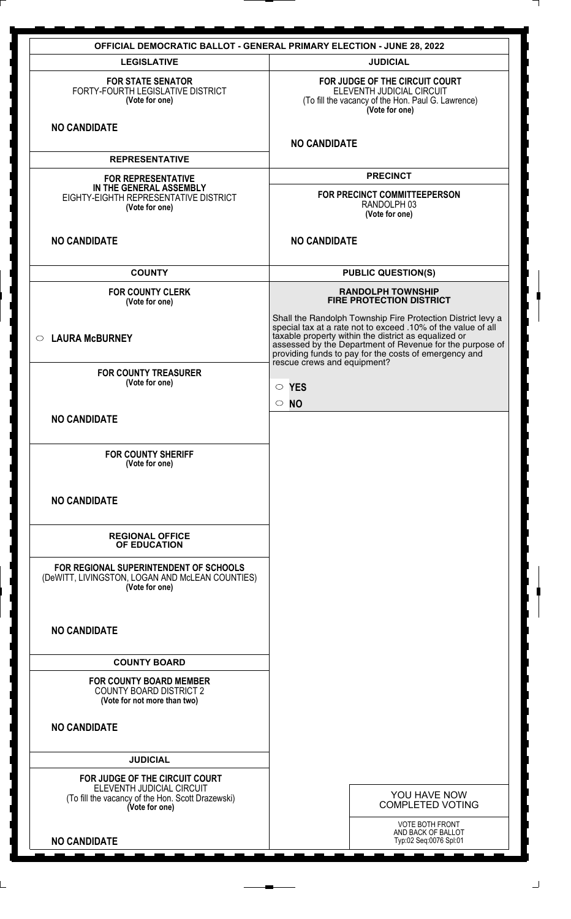| <b>OFFICIAL DEMOCRATIC BALLOT - GENERAL PRIMARY ELECTION - JUNE 28, 2022</b>                                                       |                                                                                                                                                                                                                                                                                                                                         |  |
|------------------------------------------------------------------------------------------------------------------------------------|-----------------------------------------------------------------------------------------------------------------------------------------------------------------------------------------------------------------------------------------------------------------------------------------------------------------------------------------|--|
| <b>LEGISLATIVE</b>                                                                                                                 | <b>JUDICIAL</b>                                                                                                                                                                                                                                                                                                                         |  |
| <b>FOR STATE SENATOR</b><br>FORTY-FOURTH LEGISLATIVE DISTRICT<br>(Vote for one)                                                    | FOR JUDGE OF THE CIRCUIT COURT<br>ELEVENTH JUDICIAL CIRCUIT<br>(To fill the vacancy of the Hon. Paul G. Lawrence)<br>(Vote for one)                                                                                                                                                                                                     |  |
| <b>NO CANDIDATE</b>                                                                                                                | <b>NO CANDIDATE</b>                                                                                                                                                                                                                                                                                                                     |  |
| <b>REPRESENTATIVE</b>                                                                                                              |                                                                                                                                                                                                                                                                                                                                         |  |
| <b>FOR REPRESENTATIVE</b><br>IN THE GENERAL ASSEMBLY<br>EIGHTY-EIGHTH REPRESENTATIVE DISTRICT<br>(Vote for one)                    | <b>PRECINCT</b><br>FOR PRECINCT COMMITTEEPERSON<br>RANDOLPH 03<br>(Vote for one)                                                                                                                                                                                                                                                        |  |
| <b>NO CANDIDATE</b>                                                                                                                | <b>NO CANDIDATE</b>                                                                                                                                                                                                                                                                                                                     |  |
| <b>COUNTY</b>                                                                                                                      | <b>PUBLIC QUESTION(S)</b>                                                                                                                                                                                                                                                                                                               |  |
| <b>FOR COUNTY CLERK</b><br>(Vote for one)                                                                                          | <b>RANDOLPH TOWNSHIP</b><br><b>FIRE PROTECTION DISTRICT</b>                                                                                                                                                                                                                                                                             |  |
| $\circ$ LAURA McBURNEY                                                                                                             | Shall the Randolph Township Fire Protection District levy a<br>special tax at a rate not to exceed .10% of the value of all<br>taxable property within the district as equalized or<br>assessed by the Department of Revenue for the purpose of<br>providing funds to pay for the costs of emergency and<br>rescue crews and equipment? |  |
| <b>FOR COUNTY TREASURER</b><br>(Vote for one)                                                                                      | $\circ$ YES<br>$\circ$ NO                                                                                                                                                                                                                                                                                                               |  |
| <b>NO CANDIDATE</b>                                                                                                                |                                                                                                                                                                                                                                                                                                                                         |  |
| <b>FOR COUNTY SHERIFF</b><br>(Vote for one)                                                                                        |                                                                                                                                                                                                                                                                                                                                         |  |
| <b>NO CANDIDATE</b>                                                                                                                |                                                                                                                                                                                                                                                                                                                                         |  |
| <b>REGIONAL OFFICE</b><br>OF EDUCATION                                                                                             |                                                                                                                                                                                                                                                                                                                                         |  |
| FOR REGIONAL SUPERINTENDENT OF SCHOOLS<br>(DeWITT, LIVINGSTON, LOGAN AND McLEAN COUNTIES)<br>(Vote for one)                        |                                                                                                                                                                                                                                                                                                                                         |  |
| <b>NO CANDIDATE</b>                                                                                                                |                                                                                                                                                                                                                                                                                                                                         |  |
| <b>COUNTY BOARD</b>                                                                                                                |                                                                                                                                                                                                                                                                                                                                         |  |
| <b>FOR COUNTY BOARD MEMBER</b><br><b>COUNTY BOARD DISTRICT 2</b><br>(Vote for not more than two)                                   |                                                                                                                                                                                                                                                                                                                                         |  |
| <b>NO CANDIDATE</b>                                                                                                                |                                                                                                                                                                                                                                                                                                                                         |  |
| <b>JUDICIAL</b>                                                                                                                    |                                                                                                                                                                                                                                                                                                                                         |  |
| FOR JUDGE OF THE CIRCUIT COURT<br>ELEVENTH JUDICIAL CIRCUIT<br>(To fill the vacancy of the Hon. Scott Drazewski)<br>(Vote for one) | YOU HAVE NOW<br><b>COMPLETED VOTING</b>                                                                                                                                                                                                                                                                                                 |  |
| <b>NO CANDIDATE</b>                                                                                                                | <b>VOTE BOTH FRONT</b><br>AND BACK OF BALLOT<br>Typ:02 Seq:0076 Spl:01                                                                                                                                                                                                                                                                  |  |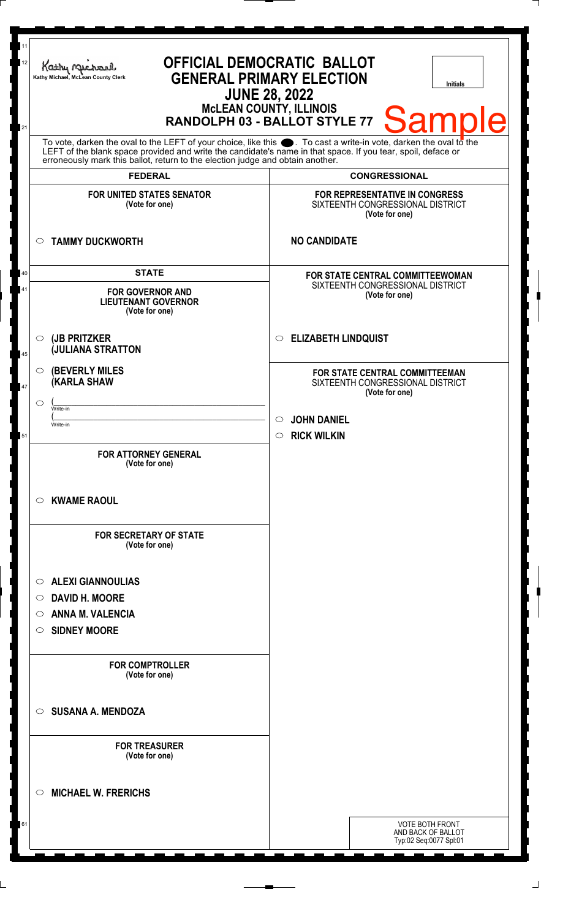| 11<br>12<br>21 | <b>OFFICIAL DEMOCRATIC BALLOT</b><br>Kathy Michael<br><b>GENERAL PRIMARY ELECTION</b><br>Kathy Michael, McLean County Clerk<br><b>Initials</b><br><b>JUNE 28, 2022</b><br><b>McLEAN COUNTY, ILLINOIS</b><br><b>Sample</b><br>RANDOLPH 03 - BALLOT STYLE 77                                                             |                                                                                             |  |
|----------------|------------------------------------------------------------------------------------------------------------------------------------------------------------------------------------------------------------------------------------------------------------------------------------------------------------------------|---------------------------------------------------------------------------------------------|--|
|                | To vote, darken the oval to the LEFT of your choice, like this $\bullet$ . To cast a write-in vote, darken the oval to the LEFT of the blank space provided and write the candidate's name in that space. If you tear, spoil, deface<br>erroneously mark this ballot, return to the election judge and obtain another. |                                                                                             |  |
|                | <b>FEDERAL</b>                                                                                                                                                                                                                                                                                                         | <b>CONGRESSIONAL</b>                                                                        |  |
|                | <b>FOR UNITED STATES SENATOR</b><br>(Vote for one)                                                                                                                                                                                                                                                                     | FOR REPRESENTATIVE IN CONGRESS<br>SIXTEENTH CONGRESSIONAL DISTRICT<br>(Vote for one)        |  |
|                | <b>TAMMY DUCKWORTH</b><br>$\circ$                                                                                                                                                                                                                                                                                      | <b>NO CANDIDATE</b>                                                                         |  |
| 40<br>41       | <b>STATE</b><br><b>FOR GOVERNOR AND</b><br><b>LIEUTENANT GOVERNOR</b><br>(Vote for one)                                                                                                                                                                                                                                | FOR STATE CENTRAL COMMITTEEWOMAN<br>SIXTEENTH CONGRESSIONAL DISTRICT<br>(Vote for one)      |  |
| 45             | (JB PRITZKER<br>$\circ$<br><b>JULIANA STRATTON</b>                                                                                                                                                                                                                                                                     | <b>ELIZABETH LINDQUIST</b><br>$\circ$                                                       |  |
| 47             | <b>(BEVERLY MILES</b><br>$\circ$<br><b>(KARLA SHAW</b>                                                                                                                                                                                                                                                                 | <b>FOR STATE CENTRAL COMMITTEEMAN</b><br>SIXTEENTH CONGRESSIONAL DISTRICT<br>(Vote for one) |  |
|                | $\circ$<br>Write-in                                                                                                                                                                                                                                                                                                    |                                                                                             |  |
|                | Write-in                                                                                                                                                                                                                                                                                                               | $\circ$ JOHN DANIEL                                                                         |  |
| 51             | <b>FOR ATTORNEY GENERAL</b><br>(Vote for one)                                                                                                                                                                                                                                                                          | <b>RICK WILKIN</b><br>$\circ$                                                               |  |
|                | <b>KWAME RAOUL</b><br>$\circ$                                                                                                                                                                                                                                                                                          |                                                                                             |  |
|                | <b>FOR SECRETARY OF STATE</b><br>(Vote for one)                                                                                                                                                                                                                                                                        |                                                                                             |  |
|                | <b>ALEXI GIANNOULIAS</b><br>$\circ$                                                                                                                                                                                                                                                                                    |                                                                                             |  |
|                | <b>DAVID H. MOORE</b><br>$\circ$                                                                                                                                                                                                                                                                                       |                                                                                             |  |
|                | <b>ANNA M. VALENCIA</b><br>O                                                                                                                                                                                                                                                                                           |                                                                                             |  |
|                | <b>SIDNEY MOORE</b><br>$\circ$                                                                                                                                                                                                                                                                                         |                                                                                             |  |
|                | <b>FOR COMPTROLLER</b><br>(Vote for one)                                                                                                                                                                                                                                                                               |                                                                                             |  |
|                | <b>SUSANA A. MENDOZA</b><br>$\circ$                                                                                                                                                                                                                                                                                    |                                                                                             |  |
|                | <b>FOR TREASURER</b><br>(Vote for one)                                                                                                                                                                                                                                                                                 |                                                                                             |  |
|                | <b>MICHAEL W. FRERICHS</b><br>$\circ$                                                                                                                                                                                                                                                                                  |                                                                                             |  |
| 61             |                                                                                                                                                                                                                                                                                                                        | <b>VOTE BOTH FRONT</b><br>AND BACK OF BALLOT<br>Typ:02 Seq:0077 Spl:01                      |  |
|                |                                                                                                                                                                                                                                                                                                                        |                                                                                             |  |